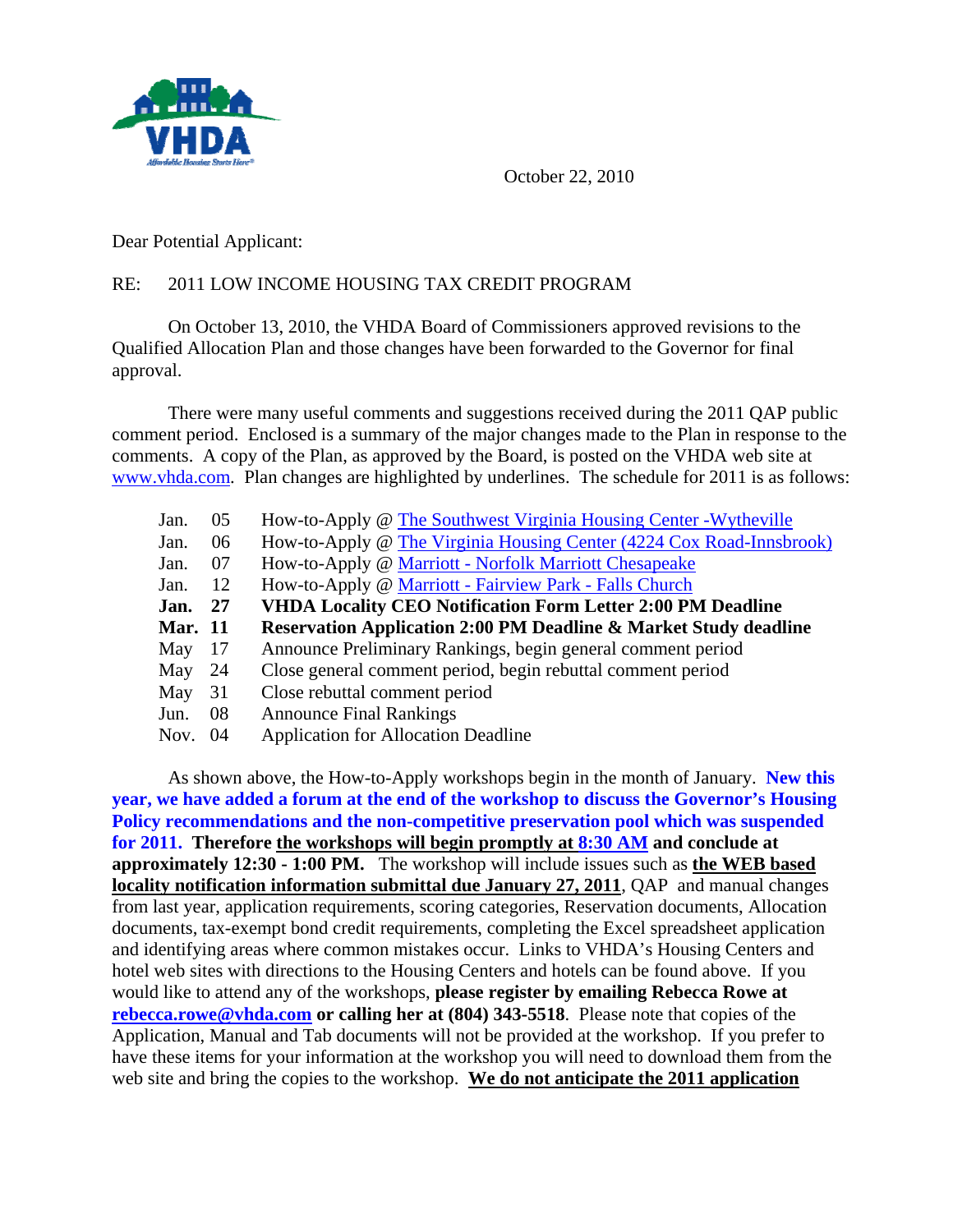

October 22, 2010

Dear Potential Applicant:

## RE: 2011 LOW INCOME HOUSING TAX CREDIT PROGRAM

 On October 13, 2010, the VHDA Board of Commissioners approved revisions to the Qualified Allocation Plan and those changes have been forwarded to the Governor for final approval.

There were many useful comments and suggestions received during the 2011 QAP public comment period. Enclosed is a summary of the major changes made to the Plan in response to the comments. A copy of the Plan, as approved by the Board, is posted on the VHDA web site at [www.vhda.com.](http://www.vhda.com/BusinessPartners/MFDevelopers/LIHTCProgram/Pages/LIHTCProgram.aspx) Plan changes are highlighted by underlines. The schedule for 2011 is as follows:

| Jan.           | 05  | How-to-Apply @ The Southwest Virginia Housing Center - Wytheville           |
|----------------|-----|-----------------------------------------------------------------------------|
| Jan.           | 06  | How-to-Apply @ The Virginia Housing Center (4224 Cox Road-Innsbrook)        |
| Jan.           | 07  | How-to-Apply @ Marriott - Norfolk Marriott Chesapeake                       |
| Jan.           | 12  | How-to-Apply @ Marriott - Fairview Park - Falls Church                      |
| Jan.           | -27 | <b>VHDA Locality CEO Notification Form Letter 2:00 PM Deadline</b>          |
| <b>Mar.</b> 11 |     | <b>Reservation Application 2:00 PM Deadline &amp; Market Study deadline</b> |
| May            | -17 | Announce Preliminary Rankings, begin general comment period                 |
| May            | 24  | Close general comment period, begin rebuttal comment period                 |
| May            | 31  | Close rebuttal comment period                                               |
| Jun.           | 08  | <b>Announce Final Rankings</b>                                              |
| Nov.           | 04  | <b>Application for Allocation Deadline</b>                                  |
|                |     |                                                                             |

 As shown above, the How-to-Apply workshops begin in the month of January. **New this year, we have added a forum at the end of the workshop to discuss the Governor's Housing Policy recommendations and the non-competitive preservation pool which was suspended for 2011. Therefore the workshops will begin promptly at 8:30 AM and conclude at approximately 12:30 - 1:00 PM.** The workshop will include issues such as **the WEB based locality notification information submittal due January 27, 2011**, QAP and manual changes from last year, application requirements, scoring categories, Reservation documents, Allocation documents, tax-exempt bond credit requirements, completing the Excel spreadsheet application and identifying areas where common mistakes occur. Links to VHDA's Housing Centers and hotel web sites with directions to the Housing Centers and hotels can be found above. If you would like to attend any of the workshops, **please register by emailing Rebecca Rowe at [rebecca.rowe@vhda.com](mailto:rebecca.rowe@vhda.com) or calling her at (804) 343-5518**.Please note that copies of the Application, Manual and Tab documents will not be provided at the workshop. If you prefer to have these items for your information at the workshop you will need to download them from the web site and bring the copies to the workshop. We **do not anticipate the 2011 application**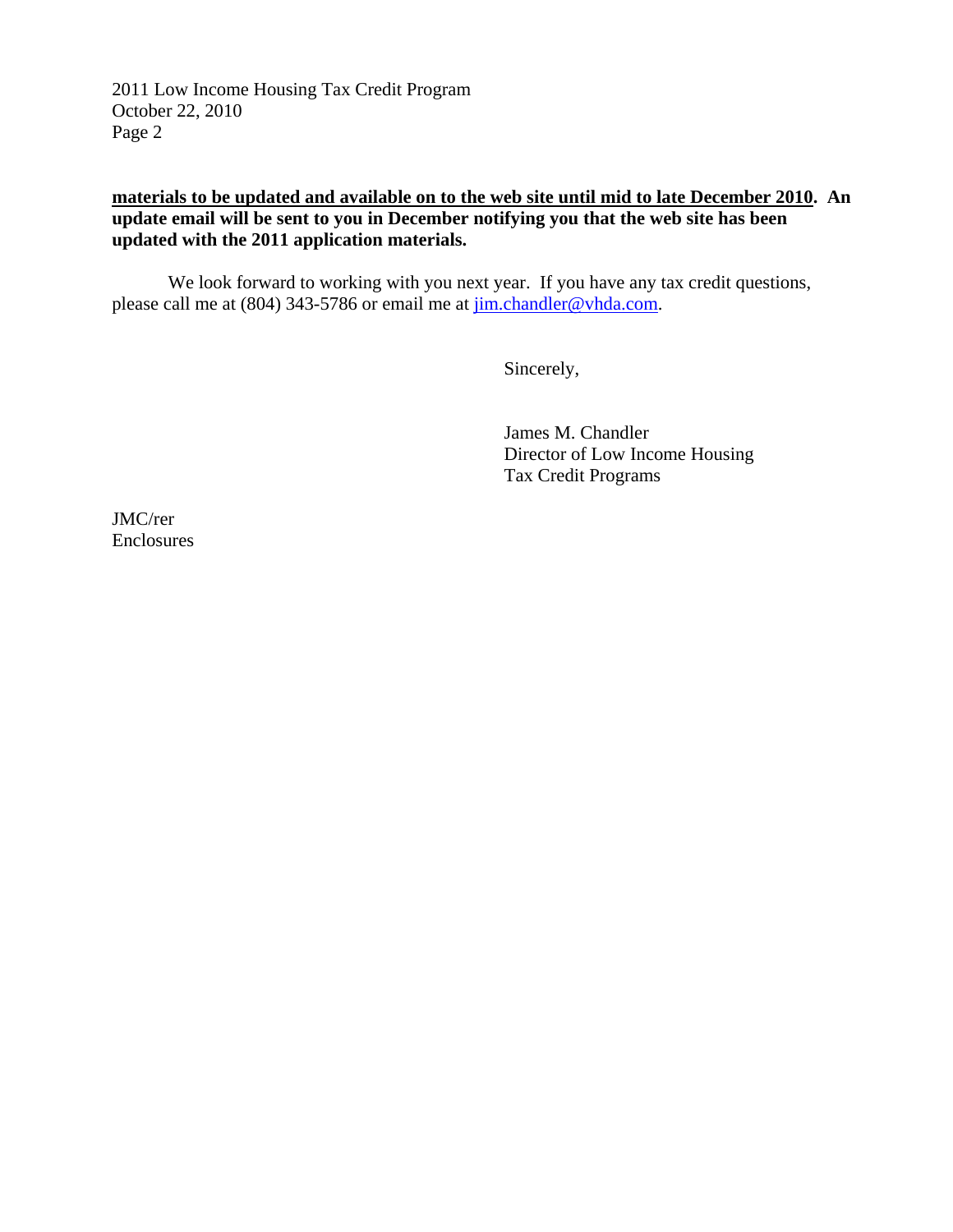2011 Low Income Housing Tax Credit Program October 22, 2010 Page 2

## **materials to be updated and available on to the web site until mid to late December 2010. An update email will be sent to you in December notifying you that the web site has been updated with the 2011 application materials.**

 We look forward to working with you next year. If you have any tax credit questions, please call me at (804) 343-5786 or email me at  $j$ im.chandler@vhda.com.

Sincerely,

 James M. Chandler Director of Low Income Housing Tax Credit Programs

JMC/rer Enclosures